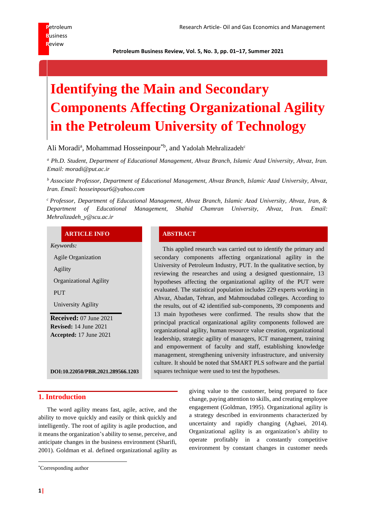**Petroleum Business Review, Vol. 5, No. 3, pp. 01–17, Summer 2021**

# **Identifying the Main and Secondary Components Affecting Organizational Agility in the Petroleum University of Technology**

Ali Moradi<sup>a</sup>, Mohammad Hosseinpour<sup>\*b</sup>, and Yadolah Mehralizadeh<sup>c</sup>

*<sup>a</sup> Ph.D. Student, Department of Educational Management, Ahvaz Branch, Islamic Azad University, Ahvaz, Iran. Email: moradi@put.ac.ir*

*<sup>b</sup>Associate Professor, Department of Educational Management, Ahvaz Branch, Islamic Azad University, Ahvaz, Iran. Email: hosseinpour6@yahoo.com*

*<sup>c</sup>Professor, Department of Educational Management, Ahvaz Branch, Islamic Azad University, Ahvaz, Iran, & Department of Educational Management, Shahid Chamran University, Ahvaz, Iran. Email: Mehralizadeh\_y@scu.ac.ir*

#### **ARTICLE INFO ABSTRACT**

*Keywords:*

Agile Organization Agility Organizational Agility PUT University Agility **Received:** 07 June 2021 **Revised:** 14 June 2021 **Accepted:** 17 June 2021

This applied research was carried out to identify the primary and secondary components affecting organizational agility in the University of Petroleum Industry, PUT. In the qualitative section, by reviewing the researches and using a designed questionnaire, 13 hypotheses affecting the organizational agility of the PUT were evaluated. The statistical population includes 229 experts working in Ahvaz, Abadan, Tehran, and Mahmoudabad colleges. According to the results, out of 42 identified sub-components, 39 components and 13 main hypotheses were confirmed. The results show that the principal practical organizational agility components followed are organizational agility, human resource value creation, organizational leadership, strategic agility of managers, ICT management, training and empowerment of faculty and staff, establishing knowledge management, strengthening university infrastructure, and university culture. It should be noted that SMART PLS software and the partial squares technique were used to test the hypotheses.

**DOI:10.22050/PBR.2021.289566.1203**

#### **1. Introduction**

The word agility means fast, agile, active, and the ability to move quickly and easily or think quickly and intelligently. The root of agility is agile production, and it means the organization's ability to sense, perceive, and anticipate changes in the business environment (Sharifi, 2001). Goldman et al. defined organizational agility as

giving value to the customer, being prepared to face change, paying attention to skills, and creating employee engagement (Goldman, 1995). Organizational agility is a strategy described in environments characterized by uncertainty and rapidly changing (Aghaei, 2014). Organizational agility is an organization's ability to operate profitably in a constantly competitive environment by constant changes in customer needs

<sup>\*</sup>Corresponding author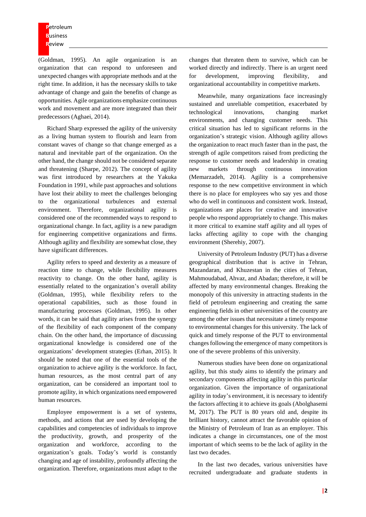(Goldman, 1995). An agile organization is an organization that can respond to unforeseen and unexpected changes with appropriate methods and at the right time. In addition, it has the necessary skills to take advantage of change and gain the benefits of change as opportunities. Agile organizations emphasize continuous work and movement and are more integrated than their predecessors (Aghaei, 2014).

Richard Sharp expressed the agility of the university as a living human system to flourish and learn from constant waves of change so that change emerged as a natural and inevitable part of the organization. On the other hand, the change should not be considered separate and threatening (Sharpe, 2012). The concept of agility was first introduced by researchers at the Yakuka Foundation in 1991, while past approaches and solutions have lost their ability to meet the challenges belonging to the organizational turbulences and external environment. Therefore, organizational agility is considered one of the recommended ways to respond to organizational change. In fact, agility is a new paradigm for engineering competitive organizations and firms. Although agility and flexibility are somewhat close, they have significant differences.

Agility refers to speed and dexterity as a measure of reaction time to change, while flexibility measures reactivity to change. On the other hand, agility is essentially related to the organization's overall ability (Goldman, 1995), while flexibility refers to the operational capabilities, such as those found in manufacturing processes (Goldman, 1995). In other words, it can be said that agility arises from the synergy of the flexibility of each component of the company chain. On the other hand, the importance of discussing organizational knowledge is considered one of the organizations' development strategies (Erhan, 2015). It should be noted that one of the essential tools of the organization to achieve agility is the workforce. In fact, human resources, as the most central part of any organization, can be considered an important tool to promote agility, in which organizations need empowered human resources.

Employee empowerment is a set of systems, methods, and actions that are used by developing the capabilities and competencies of individuals to improve the productivity, growth, and prosperity of the organization and workforce, according to the organization's goals. Today's world is constantly changing and age of instability, profoundly affecting the organization. Therefore, organizations must adapt to the

changes that threaten them to survive, which can be worked directly and indirectly. There is an urgent need for development, improving flexibility, and organizational accountability in competitive markets.

Meanwhile, many organizations face increasingly sustained and unreliable competition, exacerbated by technological innovations, changing market environments, and changing customer needs. This critical situation has led to significant reforms in the organization's strategic vision. Although agility allows the organization to react much faster than in the past, the strength of agile competitors raised from predicting the response to customer needs and leadership in creating new markets through continuous innovation (Memarzadeh, 2014). Agility is a comprehensive response to the new competitive environment in which there is no place for employees who say yes and those who do well in continuous and consistent work. Instead, organizations are places for creative and innovative people who respond appropriately to change. This makes it more critical to examine staff agility and all types of lacks affecting agility to cope with the changing environment (Sherehiy, 2007).

University of Petroleum Industry (PUT) has a diverse geographical distribution that is active in Tehran, Mazandaran, and Khuzestan in the cities of Tehran, Mahmoudabad, Ahvaz, and Abadan; therefore, it will be affected by many environmental changes. Breaking the monopoly of this university in attracting students in the field of petroleum engineering and creating the same engineering fields in other universities of the country are among the other issues that necessitate a timely response to environmental changes for this university. The lack of quick and timely response of the PUT to environmental changes following the emergence of many competitors is one of the severe problems of this university.

Numerous studies have been done on organizational agility, but this study aims to identify the primary and secondary components affecting agility in this particular organization. Given the importance of organizational agility in today's environment, it is necessary to identify the factors affecting it to achieve its goals (Abolghasemi M, 2017). The PUT is 80 years old and, despite its brilliant history, cannot attract the favorable opinion of the Ministry of Petroleum of Iran as an employer. This indicates a change in circumstances, one of the most important of which seems to be the lack of agility in the last two decades.

In the last two decades, various universities have recruited undergraduate and graduate students in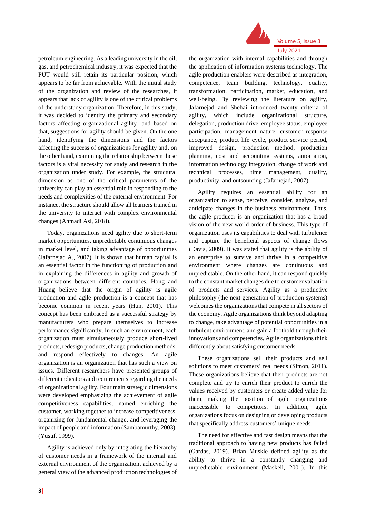

July 2021

petroleum engineering. As a leading university in the oil, gas, and petrochemical industry, it was expected that the PUT would still retain its particular position, which appears to be far from achievable. With the initial study of the organization and review of the researches, it appears that lack of agility is one of the critical problems of the understudy organization. Therefore, in this study, it was decided to identify the primary and secondary factors affecting organizational agility, and based on that, suggestions for agility should be given. On the one hand, identifying the dimensions and the factors affecting the success of organizations for agility and, on the other hand, examining the relationship between these factors is a vital necessity for study and research in the organization under study. For example, the structural dimension as one of the critical parameters of the university can play an essential role in responding to the needs and complexities of the external environment. For instance, the structure should allow all learners trained in the university to interact with complex environmental changes (Ahmadi Asl, 2018).

Today, organizations need agility due to short-term market opportunities, unpredictable continuous changes in market level, and taking advantage of opportunities (Jafarnejad A., 2007). It is shown that human capital is an essential factor in the functioning of production and in explaining the differences in agility and growth of organizations between different countries. Hong and Huang believe that the origin of agility is agile production and agile production is a concept that has become common in recent years (Hun, 2001). This concept has been embraced as a successful strategy by manufacturers who prepare themselves to increase performance significantly. In such an environment, each organization must simultaneously produce short-lived products, redesign products, change production methods, and respond effectively to changes. An agile organization is an organization that has such a view on issues. Different researchers have presented groups of different indicators and requirements regarding the needs of organizational agility. Four main strategic dimensions were developed emphasizing the achievement of agile competitiveness capabilities, named enriching the customer, working together to increase competitiveness, organizing for fundamental change, and leveraging the impact of people and information (Sambamurthy, 2003), (Yusuf, 1999).

Agility is achieved only by integrating the hierarchy of customer needs in a framework of the internal and external environment of the organization, achieved by a general view of the advanced production technologies of the organization with internal capabilities and through the application of information systems technology. The agile production enablers were described as integration, competence, team building, technology, quality, transformation, participation, market, education, and well-being. By reviewing the literature on agility, Jafarnejad and Shehai introduced twenty criteria of agility, which include organizational structure, delegation, production drive, employee status, employee participation, management nature, customer response acceptance, product life cycle, product service period, improved design, production method, production planning, cost and accounting systems, automation, information technology integration, change of work and technical processes, time management, quality, productivity, and outsourcing (Jafarnejad, 2007).

Agility requires an essential ability for an organization to sense, perceive, consider, analyze, and anticipate changes in the business environment. Thus, the agile producer is an organization that has a broad vision of the new world order of business. This type of organization uses its capabilities to deal with turbulence and capture the beneficial aspects of change flows (Davis, 2009). It was stated that agility is the ability of an enterprise to survive and thrive in a competitive environment where changes are continuous and unpredictable. On the other hand, it can respond quickly to the constant market changes due to customer valuation of products and services. Agility as a productive philosophy (the next generation of production systems) welcomes the organizations that compete in all sectors of the economy. Agile organizations think beyond adapting to change, take advantage of potential opportunities in a turbulent environment, and gain a foothold through their innovations and competencies. Agile organizations think differently about satisfying customer needs.

These organizations sell their products and sell solutions to meet customers' real needs (Simon, 2011). These organizations believe that their products are not complete and try to enrich their product to enrich the values received by customers or create added value for them, making the position of agile organizations inaccessible to competitors. In addition, agile organizations focus on designing or developing products that specifically address customers' unique needs.

The need for effective and fast design means that the traditional approach to having new products has failed (Gardas, 2019). Brian Muskle defined agility as the ability to thrive in a constantly changing and unpredictable environment (Maskell, 2001). In this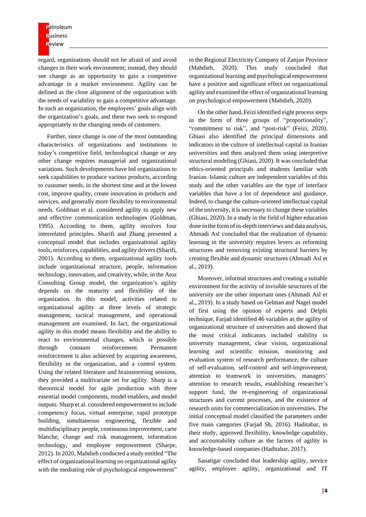regard, organizations should not be afraid of and avoid changes in their work environment; instead, they should see change as an opportunity to gain a competitive advantage in a market environment. Agility can be defined as the close alignment of the organization with the needs of variability to gain a competitive advantage. In such an organization, the employees' goals align with the organization's goals, and these two seek to respond appropriately to the changing needs of customers.

Further, since change is one of the most outstanding characteristics of organizations and institutions in today's competitive field, technological change or any other change requires managerial and organizational variations. Such developments have led organizations to seek capabilities to produce various products, according to customer needs, in the shortest time and at the lowest cost, improve quality, create innovation in products and services, and generally more flexibility to environmental needs. Goldman et al. considered agility to apply new and effective communication technologies (Goldman, 1995). According to them, agility involves four interrelated principles. Sharifi and Zhang presented a conceptual model that includes organizational agility tools, reinforces, capabilities, and agility drivers (Sharifi, 2001). According to them, organizational agility tools include organizational structure, people, information technology, innovation, and creativity, while, in the Atoz Consulting Group model, the organization's agility depends on the maturity and flexibility of the organization. In this model, activities related to organizational agility at three levels of strategic management, tactical management, and operational management are examined. In fact, the organizational agility in this model means flexibility and the ability to react to environmental changes, which is possible through constant reinforcement. Permanent reinforcement is also achieved by acquiring awareness, flexibility in the organization, and a control system. Using the related literature and brainstorming sessions, they provided a multivariate set for agility. Sharp is a theoretical model for agile production with three essential model components, model enablers, and model outputs. Sharp et al. considered empowerment to include competency focus, virtual enterprise, rapid prototype building, simultaneous engineering, flexible and multidisciplinary people, continuous improvement, carte blanche, change and risk management, information technology, and employee empowerment (Sharpe, 2012). In 2020, Mahdieh conducted a study entitled "The effect of organizational learning on organizational agility with the mediating role of psychological empowerment"

in the Regional Electricity Company of Zanjan Province (Mahdieh, 2020). This study concluded that organizational learning and psychological empowerment have a positive and significant effect on organizational agility and examined the effect of organizational learning on psychological empowerment (Mahdieh, 2020).

On the other hand, Feizi identified eight process steps in the form of three groups of "proportionality", "commitment to risk", and "post-risk" (Feizi, 2020). Ghiasi also identified the principal dimensions and indicators in the culture of intellectual capital in Iranian universities and then analyzed them using interpretive structural modeling (Ghiasi, 2020). It was concluded that ethics-oriented principals and students familiar with Iranian–Islamic culture are independent variables of this study and the other variables are the type of interface variables that have a lot of dependence and guidance. Indeed, to change the culture-oriented intellectual capital of the university, it is necessary to change these variables (Ghiasi, 2020). In a study in the field of higher education done in the form of in-depth interviews and data analysis, Ahmadi Asl concluded that the realization of dynamic learning in the university requires levers as reforming structures and removing existing structural barriers by creating flexible and dynamic structures (Ahmadi Asl et al., 2019).

Moreover, informal structures and creating a suitable environment for the activity of invisible structures of the university are the other important ones (Ahmadi Asl et al., 2019). In a study based on Gelman and Nagel model of first using the opinion of experts and Delphi technique, Farjad identified 46 variables as the agility of organizational structure of universities and showed that the most critical indicators included stability in university management, clear vision, organizational learning and scientific mission, monitoring and evaluation system of research performance, the culture of self-evaluation, self-control and self-improvement, attention to teamwork in universities, managers' attention to research results, establishing researcher's support fund, the re-engineering of organizational structures and current processes, and the existence of research units for commercialization in universities. The initial conceptual model classified the parameters under five main categories (Farjad Sh, 2016). Haditabar, in their study, approved flexibility, knowledge capability, and accountability culture as the factors of agility in knowledge-based companies (Haditabar, 2017).

Sanatigar concluded that leadership agility, service agility, employee agility, organizational and IT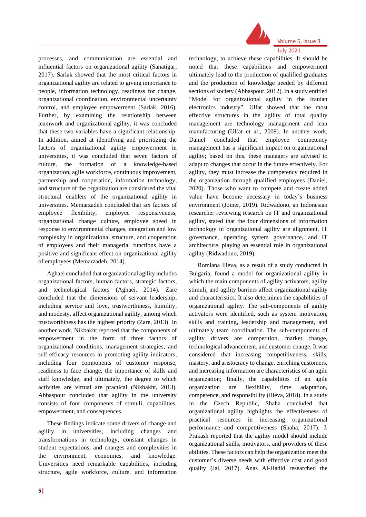

processes, and communication are essential and influential factors on organizational agility (Sanatigar, 2017). Sarlak showed that the most critical factors in organizational agility are related to giving importance to people, information technology, readiness for change, organizational coordination, environmental uncertainty control, and employee empowerment (Sarlak, 2016). Further, by examining the relationship between teamwork and organizational agility, it was concluded that these two variables have a significant relationship. In addition, aimed at identifying and prioritizing the factors of organizational agility empowerment in universities, it was concluded that seven factors of culture, the formation of a knowledge-based organization, agile workforce, continuous improvement, partnership and cooperation, information technology, and structure of the organization are considered the vital structural enablers of the organizational agility in universities. Memarzadeh concluded that six factors of employee flexibility, employee responsiveness, organizational change culture, employee speed in response to environmental changes, integration and low complexity in organizational structure, and cooperation of employees and their managerial functions have a positive and significant effect on organizational agility of employees (Memarzadeh, 2014).

Aghaei concluded that organizational agility includes organizational factors, human factors, strategic factors, and technological factors (Aghaei, 2014). Zare concluded that the dimensions of servant leadership, including service and love, trustworthiness, humility, and modesty, affect organizational agility, among which trustworthiness has the highest priority (Zare, 2013). In another work, Nikbakht reported that the components of empowerment in the form of three factors of organizational conditions, management strategies, and self-efficacy resources in promoting agility indicators, including four components of customer response, readiness to face change, the importance of skills and staff knowledge, and ultimately, the degree to which activities are virtual are practical (Nikbakht, 2013). Abbaspour concluded that agility in the university consists of four components of stimuli, capabilities, empowerment, and consequences.

These findings indicate some drivers of change and agility in universities, including changes and transformations in technology, constant changes in student expectations, and changes and complexities in the environment, economics, and knowledge. Universities need remarkable capabilities, including structure, agile workforce, culture, and information

July 2021 technology, to achieve these capabilities. It should be noted that these capabilities and empowerment ultimately lead to the production of qualified graduates and the production of knowledge needed by different sections of society (Abbaspour, 2012). In a study entitled "Model for organizational agility in the Iranian electronics industry", Ulfat showed that the most effective structures in the agility of total quality management are technology management and lean manufacturing (Ulfat et al., 2009). In another work, Daniel concluded that employee competency management has a significant impact on organizational agility; based on this, these managers are advised to adapt to changes that occur in the future effectively. For agility, they must increase the competency required in the organization through qualified employees (Daniel, 2020). Those who want to compete and create added value have become necessary in today's business environment (Joiner, 2019). Ridwadono, an Indonesian researcher reviewing research on IT and organizational agility, stated that the four dimensions of information technology in organizational agility are alignment, IT governance, operating system governance, and IT architecture, playing an essential role in organizational agility (Ridwadono, 2019).

Romiana Ilieva, as a result of a study conducted in Bulgaria, found a model for organizational agility in which the main components of agility activators, agility stimuli, and agility barriers affect organizational agility and characteristics. It also determines the capabilities of organizational agility. The sub-components of agility activators were identified, such as system motivation, skills and training, leadership and management, and ultimately team coordination. The sub-components of agility drivers are competition, market change, technological advancement, and customer change. It was considered that increasing competitiveness, skills, mastery, and aristocracy to change, enriching customers, and increasing information are characteristics of an agile organization; finally, the capabilities of an agile organization are flexibility, time adaptation, competence, and responsibility (Ilieva, 2018). In a study in the Czech Republic, Shaha concluded that organizational agility highlights the effectiveness of practical resources in increasing organizational performance and competitiveness (Shaha, 2017). J. Prakash reported that the agility model should include organizational skills, motivators, and providers of these abilities. These factors can help the organization meet the customer's diverse needs with effective cost and good quality (Jai, 2017). Anas Al-Hadid researched the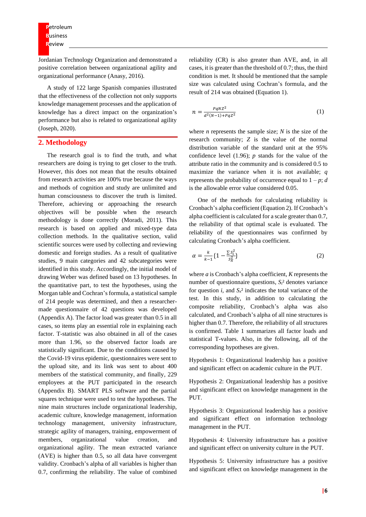Jordanian Technology Organization and demonstrated a positive correlation between organizational agility and organizational performance (Anasy, 2016).

A study of 122 large Spanish companies illustrated that the effectiveness of the collection not only supports knowledge management processes and the application of knowledge has a direct impact on the organization's performance but also is related to organizational agility (Joseph, 2020).

#### **2. Methodology**

The research goal is to find the truth, and what researchers are doing is trying to get closer to the truth. However, this does not mean that the results obtained from research activities are 100% true because the ways and methods of cognition and study are unlimited and human consciousness to discover the truth is limited. Therefore, achieving or approaching the research objectives will be possible when the research methodology is done correctly (Moradi, 2011). This research is based on applied and mixed-type data collection methods. In the qualitative section, valid scientific sources were used by collecting and reviewing domestic and foreign studies. As a result of qualitative studies, 9 main categories and 42 subcategories were identified in this study. Accordingly, the initial model of drawing Weber was defined based on 13 hypotheses. In the quantitative part, to test the hypotheses, using the Morgan table and Cochran's formula, a statistical sample of 214 people was determined, and then a researchermade questionnaire of 42 questions was developed (Appendix A). The factor load was greater than 0.5 in all cases, so items play an essential role in explaining each factor. T-statistic was also obtained in all of the cases more than 1.96, so the observed factor loads are statistically significant. Due to the conditions caused by the Covid-19 virus epidemic, questionnaires were sent to the upload site, and its link was sent to about 400 members of the statistical community, and finally, 229 employees at the PUT participated in the research (Appendix B). SMART PLS software and the partial squares technique were used to test the hypotheses. The nine main structures include organizational leadership, academic culture, knowledge management, information technology management, university infrastructure, strategic agility of managers, training, empowerment of members, organizational value creation, and organizational agility. The mean extracted variance (AVE) is higher than 0.5, so all data have convergent validity. Cronbach's alpha of all variables is higher than 0.7, confirming the reliability. The value of combined

reliability (CR) is also greater than AVE, and, in all cases, it is greater than the threshold of 0.7; thus, the third condition is met. It should be mentioned that the sample size was calculated using Cochran's formula, and the result of 214 was obtained (Equation 1).

$$
n = \frac{PqNZ^2}{d^2(N-1) + PqZ^2}
$$
 (1)

where *n* represents the sample size; *N* is the size of the research community; *Z* is the value of the normal distribution variable of the standard unit at the 95% confidence level (1.96); *p* stands for the value of the attribute ratio in the community and is considered 0.5 to maximize the variance when it is not available; *q* represents the probability of occurrence equal to  $1 - p$ ; *d* is the allowable error value considered 0.05.

One of the methods for calculating reliability is Cronbach's alpha coefficient (Equation 2). If Cronbach's alpha coefficient is calculated for a scale greater than 0.7, the reliability of that optimal scale is evaluated. The reliability of the questionnaires was confirmed by calculating Cronbach's alpha coefficient.

$$
\alpha = \frac{k}{k-1} \{ 1 - \frac{\sum S_i^2}{S_X^2} \} \tag{2}
$$

where *a* is Cronbach's alpha coefficient, *K* represents the number of questionnaire questions,  $S_i^2$  denotes variance for question *i*, and  $S_x^2$  indicates the total variance of the test. In this study, in addition to calculating the composite reliability, Cronbach's alpha was also calculated, and Cronbach's alpha of all nine structures is higher than 0.7. Therefore, the reliability of all structures is confirmed. Table 1 summarizes all factor loads and statistical T-values. Also, in the following, all of the corresponding hypotheses are given.

Hypothesis 1: Organizational leadership has a positive and significant effect on academic culture in the PUT.

Hypothesis 2: Organizational leadership has a positive and significant effect on knowledge management in the PUT.

Hypothesis 3: Organizational leadership has a positive and significant effect on information technology management in the PUT.

Hypothesis 4: University infrastructure has a positive and significant effect on university culture in the PUT.

Hypothesis 5: University infrastructure has a positive and significant effect on knowledge management in the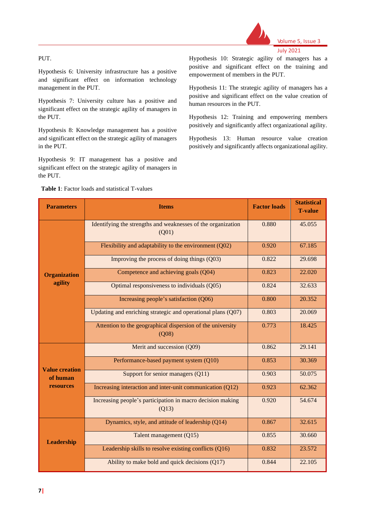#### PUT.

Hypothesis 6: University infrastructure has a positive and significant effect on information technology management in the PUT.

Hypothesis 7: University culture has a positive and significant effect on the strategic agility of managers in the PUT.

Hypothesis 8: Knowledge management has a positive and significant effect on the strategic agility of managers in the PUT.

Hypothesis 9: IT management has a positive and significant effect on the strategic agility of managers in the PUT.

Hypothesis 10: Strategic agility of managers has a positive and significant effect on the training and empowerment of members in the PUT.

Volume 5, Issue 3

July 2021

Hypothesis 11: The strategic agility of managers has a positive and significant effect on the value creation of human resources in the PUT.

Hypothesis 12: Training and empowering members positively and significantly affect organizational agility.

Hypothesis 13: Human resource value creation positively and significantly affects organizational agility.

| <b>Parameters</b>                 | <b>Items</b>                                                          | <b>Factor loads</b> | <b>Statistical</b><br><b>T-value</b> |
|-----------------------------------|-----------------------------------------------------------------------|---------------------|--------------------------------------|
|                                   | Identifying the strengths and weaknesses of the organization<br>(Q01) | 0.880               | 45.055                               |
|                                   | Flexibility and adaptability to the environment (Q02)                 | 0.920               | 67.185                               |
|                                   | Improving the process of doing things (Q03)                           | 0.822               | 29.698                               |
| <b>Organization</b>               | Competence and achieving goals (Q04)                                  | 0.823               | 22.020                               |
| agility                           | Optimal responsiveness to individuals (Q05)                           | 0.824               | 32.633                               |
|                                   | Increasing people's satisfaction (Q06)                                | 0.800               | 20.352                               |
|                                   | Updating and enriching strategic and operational plans (Q07)          | 0.803               | 20.069                               |
|                                   | Attention to the geographical dispersion of the university<br>(Q08)   | 0.773               | 18.425                               |
|                                   | Merit and succession (Q09)                                            | 0.862               | 29.141                               |
|                                   | Performance-based payment system (Q10)                                | 0.853               | 30.369                               |
| <b>Value creation</b><br>of human | Support for senior managers (Q11)                                     | 0.903               | 50.075                               |
| resources                         | Increasing interaction and inter-unit communication (Q12)             | 0.923               | 62.362                               |
|                                   | Increasing people's participation in macro decision making<br>(Q13)   | 0.920               | 54.674                               |
|                                   | Dynamics, style, and attitude of leadership (Q14)                     | 0.867               | 32.615                               |
| <b>Leadership</b>                 | Talent management (Q15)                                               | 0.855               | 30.660                               |
|                                   | Leadership skills to resolve existing conflicts (Q16)                 | 0.832               | 23.572                               |
|                                   | Ability to make bold and quick decisions (Q17)                        | 0.844               | 22.105                               |

#### **Table 1**: Factor loads and statistical T-values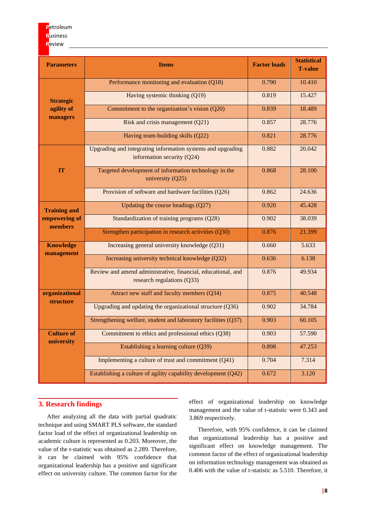| <b>Parameters</b>                  | <b>Items</b>                                                                                | <b>Factor loads</b> | <b>Statistical</b><br><b>T-value</b> |
|------------------------------------|---------------------------------------------------------------------------------------------|---------------------|--------------------------------------|
|                                    | Performance monitoring and evaluation (Q18)                                                 | 0.790               | 10.410                               |
| <b>Strategic</b>                   | Having systemic thinking (Q19)                                                              | 0.819               | 15.427                               |
| agility of<br>managers             | Commitment to the organization's vision (Q20)                                               | 0.839               | 18.489                               |
|                                    | 0.857                                                                                       | 28.776              |                                      |
|                                    | Having team-building skills (Q22)                                                           | 0.821               | 28.776                               |
|                                    | Upgrading and integrating information systems and upgrading<br>information security $(Q24)$ | 0.882               | 20.042                               |
| <b>IT</b>                          | Targeted development of information technology in the<br>university $(Q25)$                 | 0.868               | 28.100                               |
|                                    | Provision of software and hardware facilities (Q26)                                         | 0.862               | 24.636                               |
| <b>Training and</b>                | Updating the course headings $(Q27)$                                                        | 0.920               | 45.428                               |
| empowering of<br>members           | Standardization of training programs (Q28)                                                  | 0.902               | 38.039                               |
|                                    | Strengthen participation in research activities (Q30)                                       | 0.876               | 21.399                               |
| <b>Knowledge</b><br>management     | Increasing general university knowledge (Q31)                                               | 0.660               | 5.633                                |
|                                    | Increasing university technical knowledge (Q32)                                             | 0.636               | 6.138                                |
|                                    | Review and amend administrative, financial, educational, and<br>research regulations (Q33)  | 0.876               | 49.934                               |
| organizational<br><b>structure</b> | Attract new staff and faculty members (Q34)                                                 | 0.875               | 40.548                               |
|                                    | Upgrading and updating the organizational structure (Q36)                                   | 0.902               | 34.784                               |
|                                    | Strengthening welfare, student and laboratory facilities (Q37)                              | 0.903               | 60.105                               |
| <b>Culture of</b><br>university    | Commitment to ethics and professional ethics (Q38)                                          | 0.903               | 57.590                               |
|                                    | Establishing a learning culture (Q39)                                                       | 0.898               | 47.253                               |
|                                    | Implementing a culture of trust and commitment (Q41)                                        | 0.704               | 7.314                                |
|                                    | Establishing a culture of agility capability development (Q42)                              | 0.672               | 3.120                                |

## **3. Research findings**

After analyzing all the data with partial quadratic technique and using SMART PLS software, the standard factor load of the effect of organizational leadership on academic culture is represented as 0.203. Moreover, the value of the t-statistic was obtained as 2.289. Therefore, it can be claimed with 95% confidence that organizational leadership has a positive and significant effect on university culture. The common factor for the

effect of organizational leadership on knowledge management and the value of t-statistic were 0.343 and 3.869 respectively.

Therefore, with 95% confidence, it can be claimed that organizational leadership has a positive and significant effect on knowledge management. The common factor of the effect of organizational leadership on information technology management was obtained as 0.406 with the value of t-statistic as 5.510. Therefore, it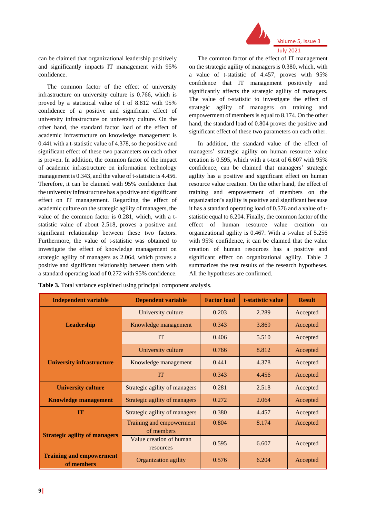

July 2021

can be claimed that organizational leadership positively and significantly impacts IT management with 95% confidence.

The common factor of the effect of university infrastructure on university culture is 0.766, which is proved by a statistical value of t of 8.812 with 95% confidence of a positive and significant effect of university infrastructure on university culture. On the other hand, the standard factor load of the effect of academic infrastructure on knowledge management is 0.441 with a t-statistic value of 4.378, so the positive and significant effect of these two parameters on each other is proven. In addition, the common factor of the impact of academic infrastructure on information technology management is 0.343, and the value of t-statistic is 4.456. Therefore, it can be claimed with 95% confidence that the university infrastructure has a positive and significant effect on IT management. Regarding the effect of academic culture on the strategic agility of managers, the value of the common factor is 0.281, which, with a tstatistic value of about 2.518, proves a positive and significant relationship between these two factors. Furthermore, the value of t-statistic was obtained to investigate the effect of knowledge management on strategic agility of managers as 2.064, which proves a positive and significant relationship between them with a standard operating load of 0.272 with 95% confidence.

The common factor of the effect of IT management on the strategic agility of managers is 0.380, which, with a value of t-statistic of 4.457, proves with 95% confidence that IT management positively and significantly affects the strategic agility of managers. The value of t-statistic to investigate the effect of strategic agility of managers on training and empowerment of members is equal to 8.174. On the other hand, the standard load of 0.804 proves the positive and significant effect of these two parameters on each other.

In addition, the standard value of the effect of managers' strategic agility on human resource value creation is 0.595, which with a t-test of 6.607 with 95% confidence, can be claimed that managers' strategic agility has a positive and significant effect on human resource value creation. On the other hand, the effect of training and empowerment of members on the organization's agility is positive and significant because it has a standard operating load of 0.576 and a value of tstatistic equal to 6.204. Finally, the common factor of the effect of human resource value creation on organizational agility is 0.467. With a t-value of 5.256 with 95% confidence, it can be claimed that the value creation of human resources has a positive and significant effect on organizational agility. Table 2 summarizes the test results of the research hypotheses. All the hypotheses are confirmed.

**Table 3.** Total variance explained using principal component analysis.

| <b>Independent variable</b>                   | <b>Dependent variable</b>              | <b>Factor load</b> | t-statistic value | <b>Result</b> |
|-----------------------------------------------|----------------------------------------|--------------------|-------------------|---------------|
|                                               | University culture                     | 0.203              | 2.289             | Accepted      |
| <b>Leadership</b>                             | Knowledge management                   | 0.343              | 3.869             | Accepted      |
|                                               | <b>IT</b>                              | 0.406              | 5.510             | Accepted      |
|                                               | University culture                     | 0.766              | 8.812             | Accepted      |
| <b>University infrastructure</b>              | Knowledge management                   | 0.441              | 4.378             | Accepted      |
|                                               | <b>IT</b>                              | 0.343              | 4.456             | Accepted      |
| <b>University culture</b>                     | Strategic agility of managers          | 0.281              | 2.518             | Accepted      |
| <b>Knowledge management</b>                   | Strategic agility of managers          | 0.272              | 2.064             | Accepted      |
| IT                                            | Strategic agility of managers          | 0.380              | 4.457             | Accepted      |
| <b>Strategic agility of managers</b>          | Training and empowerment<br>of members | 0.804              | 8.174             | Accepted      |
|                                               | Value creation of human<br>resources   | 0.595              | 6.607             | Accepted      |
| <b>Training and empowerment</b><br>of members | Organization agility                   | 0.576              | 6.204             | Accepted      |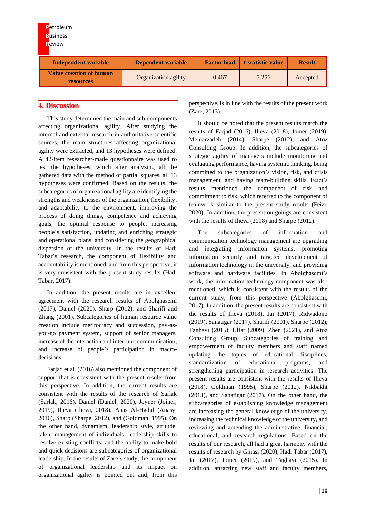| <b>P</b> etroleum           |                           |                    |                   |               |
|-----------------------------|---------------------------|--------------------|-------------------|---------------|
| <b>Business</b>             |                           |                    |                   |               |
| Review                      |                           |                    |                   |               |
|                             |                           |                    |                   |               |
| <b>Independent variable</b> | <b>Dependent variable</b> | <b>Factor load</b> | t-statistic value | <b>Result</b> |
|                             |                           |                    |                   |               |

#### **4. Discussion**

This study determined the main and sub-components affecting organizational agility. After studying the internal and external research in authoritative scientific sources, the main structures affecting organizational agility were extracted, and 13 hypotheses were defined. A 42-item researcher-made questionnaire was used to test the hypotheses, which after analyzing all the gathered data with the method of partial squares, all 13 hypotheses were confirmed. Based on the results, the subcategories of organizational agility are identifying the strengths and weaknesses of the organization, flexibility, and adaptability to the environment, improving the process of doing things, competence and achieving goals, the optimal response to people, increasing people's satisfaction, updating and enriching strategic and operational plans, and considering the geographical dispersion of the university. In the results of Hadi Tabar's research, the component of flexibility and accountability is mentioned, and from this perspective, it is very consistent with the present study results (Hadi Tabar, 2017).

In addition, the present results are in excellent agreement with the research results of Abolghasemi (2017), Daniel (2020), Sharp (2012), and Sharifi and Zhang (2001). Subcategories of human resource value creation include meritocracy and succession, pay-asyou-go payment system, support of senior managers, increase of the interaction and inter-unit communication, and increase of people's participation in macrodecisions.

Farjad et al. (2016) also mentioned the component of support that is consistent with the present results from this perspective. In addition, the current results are consistent with the results of the research of Sarlak (Sarlak, 2016), Daniel (Daniel, 2020), Joyner (Joiner, 2019), Ilieva (Ilieva, 2018), Anas Al-Hadid (Anasy, 2016), Sharp (Sharpe, 2012), and (Goldman, 1995). On the other hand, dynamism, leadership style, attitude, talent management of individuals, leadership skills to resolve existing conflicts, and the ability to make bold and quick decisions are subcategories of organizational leadership. In the results of Zare's study, the component of organizational leadership and its impact on organizational agility is pointed out and, from this

perspective, is in line with the results of the present work (Zare, 2013).

It should be noted that the present results match the results of Farjad (2016), Ilieva (2018), Joiner (2019), Memarzadeh (2014), Sharpe (2012), and Atoz Consulting Group. In addition, the subcategories of strategic agility of managers include monitoring and evaluating performance, having systemic thinking, being committed to the organization's vision, risk, and crisis management, and having team-building skills. Feizi's results mentioned the component of risk and commitment to risk, which referred to the component of teamwork similar to the present study results (Feizi, 2020). In addition, the present outgoings are consistent with the results of Ilieva (2018) and Sharpe (2012).

The subcategories of information and communication technology management are upgrading and integrating information systems, promoting information security and targeted development of information technology in the university, and providing software and hardware facilities. In Abolghasemi's work, the information technology component was also mentioned, which is consistent with the results of the current study, from this perspective (Abolghasemi, 2017). In addition, the present results are consistent with the results of Ilieva (2018), Jai (2017), Ridwadono (2019), Sanatigar (2017), Sharifi (2001), Sharpe (2012), Taghavi (2015), Ulfat (2009), Zhen (2021), and Atoz Consulting Group. Subcategories of training and empowerment of faculty members and staff named updating the topics of educational disciplines, standardization of educational programs, and strengthening participation in research activities. The present results are consistent with the results of Ilieva (2018), Goldman (1995), Sharpe (2012), Nikbakht (2013), and Sanatigar (2017). On the other hand, the subcategories of establishing knowledge management are increasing the general knowledge of the university, increasing the technical knowledge of the university, and reviewing and amending the administrative, financial, educational, and research regulations. Based on the results of our research, all had a great harmony with the results of research by Ghiasi (2020), Hadi Tabar (2017), Jai (2017), Joiner (2019), and Taghavi (2015). In addition, attracting new staff and faculty members,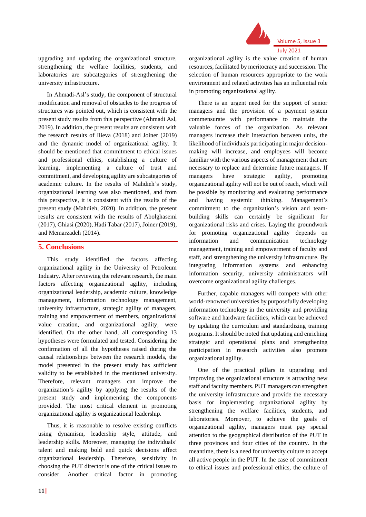

July 2021

upgrading and updating the organizational structure, strengthening the welfare facilities, students, and laboratories are subcategories of strengthening the university infrastructure.

In Ahmadi-Asl's study, the component of structural modification and removal of obstacles to the progress of structures was pointed out, which is consistent with the present study results from this perspective (Ahmadi Asl, 2019). In addition, the present results are consistent with the research results of Ilieva (2018) and Joiner (2019) and the dynamic model of organizational agility. It should be mentioned that commitment to ethical issues and professional ethics, establishing a culture of learning, implementing a culture of trust and commitment, and developing agility are subcategories of academic culture. In the results of Mahdieh's study, organizational learning was also mentioned, and from this perspective, it is consistent with the results of the present study (Mahdieh, 2020). In addition, the present results are consistent with the results of Abolghasemi (2017), Ghiasi (2020), Hadi Tabar (2017), Joiner (2019), and Memarzadeh (2014).

#### **5. Conclusions**

This study identified the factors affecting organizational agility in the University of Petroleum Industry. After reviewing the relevant research, the main factors affecting organizational agility, including organizational leadership, academic culture, knowledge management, information technology management, university infrastructure, strategic agility of managers, training and empowerment of members, organizational value creation, and organizational agility, were identified. On the other hand, all corresponding 13 hypotheses were formulated and tested. Considering the confirmation of all the hypotheses raised during the causal relationships between the research models, the model presented in the present study has sufficient validity to be established in the mentioned university. Therefore, relevant managers can improve the organization's agility by applying the results of the present study and implementing the components provided. The most critical element in promoting organizational agility is organizational leadership.

Thus, it is reasonable to resolve existing conflicts using dynamism, leadership style, attitude, and leadership skills. Moreover, managing the individuals' talent and making bold and quick decisions affect organizational leadership. Therefore, sensitivity in choosing the PUT director is one of the critical issues to consider. Another critical factor in promoting

organizational agility is the value creation of human resources, facilitated by meritocracy and succession. The selection of human resources appropriate to the work environment and related activities has an influential role in promoting organizational agility.

There is an urgent need for the support of senior managers and the provision of a payment system commensurate with performance to maintain the valuable forces of the organization. As relevant managers increase their interaction between units, the likelihood of individuals participating in major decisionmaking will increase, and employees will become familiar with the various aspects of management that are necessary to replace and determine future managers. If managers have strategic agility, promoting organizational agility will not be out of reach, which will be possible by monitoring and evaluating performance and having systemic thinking. Management's commitment to the organization's vision and teambuilding skills can certainly be significant for organizational risks and crises. Laying the groundwork for promoting organizational agility depends on information and communication technology management, training and empowerment of faculty and staff, and strengthening the university infrastructure. By integrating information systems and enhancing information security, university administrators will overcome organizational agility challenges.

Further, capable managers will compete with other world-renowned universities by purposefully developing information technology in the university and providing software and hardware facilities, which can be achieved by updating the curriculum and standardizing training programs. It should be noted that updating and enriching strategic and operational plans and strengthening participation in research activities also promote organizational agility.

One of the practical pillars in upgrading and improving the organizational structure is attracting new staff and faculty members. PUT managers can strengthen the university infrastructure and provide the necessary basis for implementing organizational agility by strengthening the welfare facilities, students, and laboratories. Moreover, to achieve the goals of organizational agility, managers must pay special attention to the geographical distribution of the PUT in three provinces and four cities of the country. In the meantime, there is a need for university culture to accept all active people in the PUT. In the case of commitment to ethical issues and professional ethics, the culture of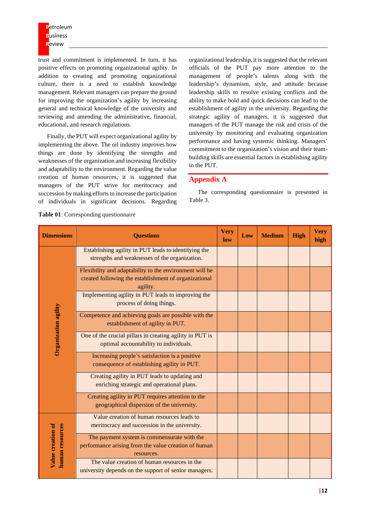trust and commitment is implemented. In turn, it has positive effects on promoting organizational agility. In addition to creating and promoting organizational culture, there is a need to establish knowledge management. Relevant managers can prepare the ground for improving the organization's agility by increasing general and technical knowledge of the university and reviewing and amending the administrative, financial, educational, and research regulations.

Finally, the PUT will expect organizational agility by implementing the above. The oil industry improves how things are done by identifying the strengths and weaknesses of the organization and increasing flexibility and adaptability to the environment. Regarding the value creation of human resources, it is suggested that managers of the PUT strive for meritocracy and succession by making efforts to increase the participation of individuals in significant decisions. Regarding

organizational leadership, it is suggested that the relevant officials of the PUT pay more attention to the management of people's talents along with the leadership's dynamism, style, and attitude because leadership skills to resolve existing conflicts and the ability to make bold and quick decisions can lead to the establishment of agility in the university. Regarding the strategic agility of managers, it is suggested that managers of the PUT manage the risk and crisis of the university by monitoring and evaluating organization performance and having systemic thinking. Managers' commitment to the organization's vision and their teambuilding skills are essential factors in establishing agility in the PUT.

#### **Appendix A**

The corresponding questionnaire is presented in Table 3.

| <b>Dimensions</b>                    | <b>Questions</b>                                                                                                             | <b>Very</b><br>low | Low | <b>Medium</b> | <b>High</b> | <b>Very</b><br>high |
|--------------------------------------|------------------------------------------------------------------------------------------------------------------------------|--------------------|-----|---------------|-------------|---------------------|
|                                      | Establishing agility in PUT leads to identifying the<br>strengths and weaknesses of the organization.                        |                    |     |               |             |                     |
|                                      | Flexibility and adaptability to the environment will be<br>created following the establishment of organizational<br>agility. |                    |     |               |             |                     |
|                                      | Implementing agility in PUT leads to improving the<br>process of doing things.                                               |                    |     |               |             |                     |
|                                      | Competence and achieving goals are possible with the<br>establishment of agility in PUT.                                     |                    |     |               |             |                     |
| Organization agility                 | One of the crucial pillars in creating agility in PUT is<br>optimal accountability to individuals.                           |                    |     |               |             |                     |
|                                      | Increasing people's satisfaction is a positive<br>consequence of establishing agility in PUT.                                |                    |     |               |             |                     |
|                                      | Creating agility in PUT leads to updating and<br>enriching strategic and operational plans.                                  |                    |     |               |             |                     |
|                                      | Creating agility in PUT requires attention to the<br>geographical dispersion of the university.                              |                    |     |               |             |                     |
| Value creation of<br>human resources | Value creation of human resources leads to<br>meritocracy and succession in the university.                                  |                    |     |               |             |                     |
|                                      | The payment system is commensurate with the<br>performance arising from the value creation of human<br>resources.            |                    |     |               |             |                     |
|                                      | The value creation of human resources in the<br>university depends on the support of senior managers.                        |                    |     |               |             |                     |

**Table 01**: Corresponding questionnaire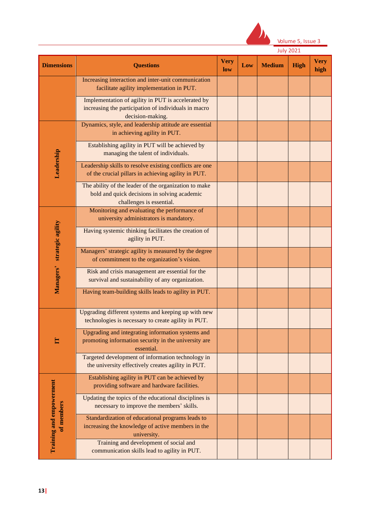

| <b>Dimensions</b>                      | <b>Questions</b>                                                                                                                  | <b>Very</b><br>low | Low | <b>Medium</b> | High | <b>Very</b><br>high |
|----------------------------------------|-----------------------------------------------------------------------------------------------------------------------------------|--------------------|-----|---------------|------|---------------------|
|                                        | Increasing interaction and inter-unit communication<br>facilitate agility implementation in PUT.                                  |                    |     |               |      |                     |
|                                        | Implementation of agility in PUT is accelerated by<br>increasing the participation of individuals in macro<br>decision-making.    |                    |     |               |      |                     |
|                                        | Dynamics, style, and leadership attitude are essential<br>in achieving agility in PUT.                                            |                    |     |               |      |                     |
|                                        | Establishing agility in PUT will be achieved by<br>managing the talent of individuals.                                            |                    |     |               |      |                     |
| Leadership                             | Leadership skills to resolve existing conflicts are one<br>of the crucial pillars in achieving agility in PUT.                    |                    |     |               |      |                     |
|                                        | The ability of the leader of the organization to make<br>bold and quick decisions in solving academic<br>challenges is essential. |                    |     |               |      |                     |
|                                        | Monitoring and evaluating the performance of<br>university administrators is mandatory.                                           |                    |     |               |      |                     |
| Managers' strategic agility            | Having systemic thinking facilitates the creation of<br>agility in PUT.                                                           |                    |     |               |      |                     |
|                                        | Managers' strategic agility is measured by the degree<br>of commitment to the organization's vision.                              |                    |     |               |      |                     |
|                                        | Risk and crisis management are essential for the<br>survival and sustainability of any organization.                              |                    |     |               |      |                     |
|                                        | Having team-building skills leads to agility in PUT.                                                                              |                    |     |               |      |                     |
|                                        | Upgrading different systems and keeping up with new<br>technologies is necessary to create agility in PUT.                        |                    |     |               |      |                     |
|                                        | Upgrading and integrating information systems and<br>promoting information security in the university are<br>essential.           |                    |     |               |      |                     |
|                                        | Targeted development of information technology in<br>the university effectively creates agility in PUT.                           |                    |     |               |      |                     |
|                                        | Establishing agility in PUT can be achieved by<br>providing software and hardware facilities.                                     |                    |     |               |      |                     |
|                                        | Updating the topics of the educational disciplines is<br>necessary to improve the members' skills.                                |                    |     |               |      |                     |
| Training and empowerment<br>of members | Standardization of educational programs leads to<br>increasing the knowledge of active members in the<br>university.              |                    |     |               |      |                     |
|                                        | Training and development of social and<br>communication skills lead to agility in PUT.                                            |                    |     |               |      |                     |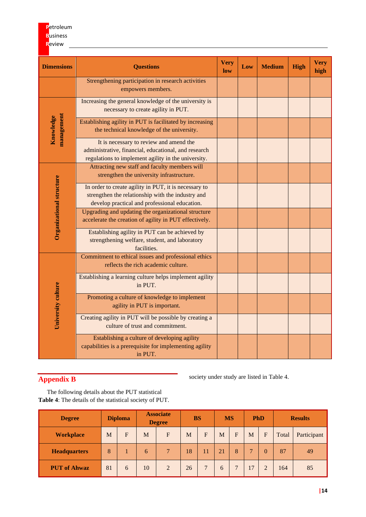| <b>Dimensions</b>               | <b>Questions</b>                                                                                                                                            | <b>Very</b><br>low | Low | <b>Medium</b> | <b>High</b> | <b>Very</b><br>high |
|---------------------------------|-------------------------------------------------------------------------------------------------------------------------------------------------------------|--------------------|-----|---------------|-------------|---------------------|
|                                 | Strengthening participation in research activities<br>empowers members.                                                                                     |                    |     |               |             |                     |
|                                 | Increasing the general knowledge of the university is<br>necessary to create agility in PUT.                                                                |                    |     |               |             |                     |
| management<br>Knowledge         | Establishing agility in PUT is facilitated by increasing<br>the technical knowledge of the university.                                                      |                    |     |               |             |                     |
|                                 | It is necessary to review and amend the<br>administrative, financial, educational, and research<br>regulations to implement agility in the university.      |                    |     |               |             |                     |
|                                 | Attracting new staff and faculty members will<br>strengthen the university infrastructure.                                                                  |                    |     |               |             |                     |
| <b>Organizational structure</b> | In order to create agility in PUT, it is necessary to<br>strengthen the relationship with the industry and<br>develop practical and professional education. |                    |     |               |             |                     |
|                                 | Upgrading and updating the organizational structure<br>accelerate the creation of agility in PUT effectively.                                               |                    |     |               |             |                     |
|                                 | Establishing agility in PUT can be achieved by<br>strengthening welfare, student, and laboratory<br>facilities.                                             |                    |     |               |             |                     |
|                                 | Commitment to ethical issues and professional ethics<br>reflects the rich academic culture.                                                                 |                    |     |               |             |                     |
|                                 | Establishing a learning culture helps implement agility<br>in PUT.                                                                                          |                    |     |               |             |                     |
| University culture              | Promoting a culture of knowledge to implement<br>agility in PUT is important.                                                                               |                    |     |               |             |                     |
|                                 | Creating agility in PUT will be possible by creating a<br>culture of trust and commitment.                                                                  |                    |     |               |             |                     |
|                                 | Establishing a culture of developing agility<br>capabilities is a prerequisite for implementing agility<br>in PUT.                                          |                    |     |               |             |                     |

## **Appendix B**

society under study are listed in Table 4.

The following details about the PUT statistical **Table 4**: The details of the statistical society of PUT.

| <b>Degree</b>       | <b>Diploma</b> |   |    |                | <b>Associate</b><br><b>Degree</b> |                |    | <b>BS</b> |    | <b>MS</b> |       | <b>PhD</b>  |  | <b>Results</b> |  |
|---------------------|----------------|---|----|----------------|-----------------------------------|----------------|----|-----------|----|-----------|-------|-------------|--|----------------|--|
| <b>Workplace</b>    | M              | F | M  | $F_{\rm}$      | M                                 | F              | M  | F         | M  | F         | Total | Participant |  |                |  |
| <b>Headquarters</b> | 8              |   | 6  | $\tau$         | 18                                | 11             | 21 | 8         |    | 0         | 87    | 49          |  |                |  |
| <b>PUT</b> of Ahwaz | 81             | 6 | 10 | $\overline{2}$ | 26                                | $\overline{7}$ | 6  |           | 17 |           | 164   | 85          |  |                |  |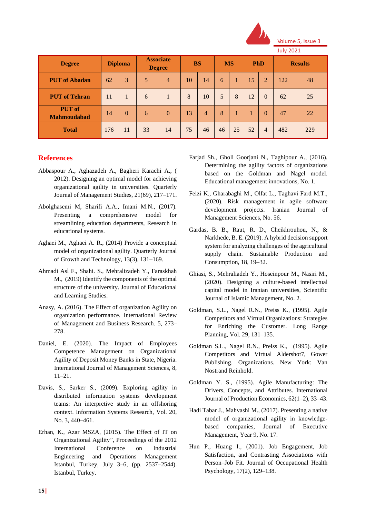

|                                     |                |          |    |                |    |                                   |    |           |           | <b>July 2021</b> |            |     |  |                |
|-------------------------------------|----------------|----------|----|----------------|----|-----------------------------------|----|-----------|-----------|------------------|------------|-----|--|----------------|
| <b>Degree</b>                       | <b>Diploma</b> |          |    |                |    | <b>Associate</b><br><b>Degree</b> |    | <b>BS</b> | <b>MS</b> |                  | <b>PhD</b> |     |  | <b>Results</b> |
| <b>PUT</b> of Abadan                | 62             | 3        | 5  | $\overline{4}$ | 10 | 14                                | 6  |           | 15        | $\overline{2}$   | 122        | 48  |  |                |
| <b>PUT</b> of Tehran                | 11             | 1        | 6  |                | 8  | 10                                | 5  | 8         | 12        | $\Omega$         | 62         | 25  |  |                |
| <b>PUT</b> of<br><b>Mahmoudabad</b> | 14             | $\theta$ | 6  | $\mathbf{0}$   | 13 | $\overline{4}$                    | 8  |           |           | $\Omega$         | 47         | 22  |  |                |
| <b>Total</b>                        | 176            | 11       | 33 | 14             | 75 | 46                                | 46 | 25        | 52        | $\overline{4}$   | 482        | 229 |  |                |

## **References**

- Abbaspour A., Aghazadeh A., Bagheri Karachi A., ( 2012). Designing an optimal model for achieving organizational agility in universities. Quarterly Journal of Management Studies, 21(69), 217–171.
- Abolghasemi M, Sharifi A.A., Imani M.N., (2017). Presenting a comprehensive model for streamlining education departments, Research in educational systems.
- Aghaei M., Aghaei A. R., (2014) Provide a conceptual model of organizational agility. Quarterly Journal of Growth and Technology, 13(3), 131–169.
- Ahmadi Asl F., Shahi. S., Mehralizadeh Y., Faraskhah M., (2019) Identify the components of the optimal structure of the university. Journal of Educational and Learning Studies.
- Anasy, A. (2016). The Effect of organization Agility on organization performance. International Review of Management and Business Research. 5, 273– 278.
- Daniel, E. (2020). The Impact of Employees Competence Management on Organizational Agility of Deposit Money Banks in State, Nigeria. International Journal of Management Sciences, 8, 11–21.
- Davis, S., Sarker S., (2009). Exploring agility in distributed information systems development teams: An interpretive study in an offshoring context. Information Systems Research, Vol. 20, No. 3, 440–461.
- Erhan, K., Azar MSZA, (2015). The Effect of IT on Organizational Agility", Proceedings of the 2012 International Conference on Industrial Engineering and Operations Management Istanbul, Turkey, July 3–6, (pp. 2537–2544). Istanbul, Turkey.
- Farjad Sh., Gholi Goorjani N., Taghipour A., (2016). Determining the agility factors of organizations based on the Goldman and Nagel model. Educational management innovations, No. 1.
- Feizi K., Gharabaghi M., Olfat L., Taghavi Fard M.T., (2020). Risk management in agile software development projects. Iranian Journal of Management Sciences, No. 56.
- Gardas, B. B., Raut, R. D., Cheikhrouhou, N., & Narkhede, B. E. (2019). A hybrid decision support system for analyzing challenges of the agricultural supply chain. Sustainable Production and Consumption, 18, 19–32.
- Ghiasi, S., Mehraliadeh Y., Hoseinpour M., Nasiri M., (2020). Designing a culture-based intellectual capital model in Iranian universities, Scientific Journal of Islamic Management, No. 2.
- Goldman, S.L., Nagel R.N., Preiss K., (1995). Agile Competitors and Virtual Organizations: Strategies for Enriching the Customer. Long Range Planning, Vol. 29, 131–135.
- Goldman S.L., Nagel R.N., Preiss K., (1995). Agile Competitors and Virtual Aldershot7, Gower Publishing. Organizations. New York: Van Nostrand Reinhold.
- Goldman Y. S., (1995). Agile Manufacturing: The Drivers, Concepts, and Attributes. International Journal of Production Economics, 62(1–2), 33–43.
- Hadi Tabar J., Mahvashi M., (2017). Presenting a native model of organizational agility in knowledgebased companies, Journal of Executive Management, Year 9, No. 17.
- Hun P., Huang I., (2001). Job Engagement, Job Satisfaction, and Contrasting Associations with Person–Job Fit. Journal of Occupational Health Psychology, 17(2), 129–138.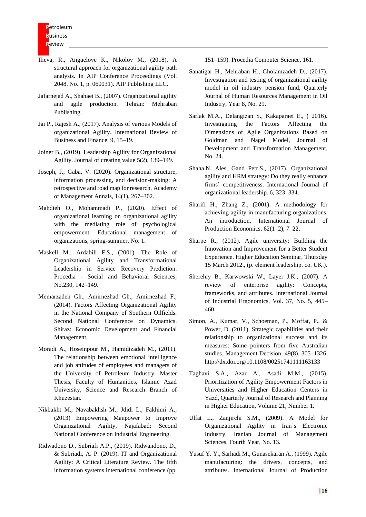- Ilieva, R., Anguelove K., Nikolov M., (2018). A structural approach for organizational agility path analysis. In AIP Conference Proceedings (Vol. 2048, No. 1, p. 060031). AIP Publishing LLC.
- Jafarnejad A., Shahaei B., (2007). Organizational agility and agile production. Tehran: Mehraban Publishing.
- Jai P., Rajesh A., (2017). Analysis of various Models of organizational Agility. International Review of Business and Finance. 9, 15–19.
- Joiner B., (2019). Leadership Agility for Organizational Agility. Journal of creating value 5(2), 139–149.
- Joseph, J., Gaba, V. (2020). Organizational structure, information processing, and decision-making: A retrospective and road map for research. Academy of Management Annals, 14(1), 267–302.
- Mahdieh O., Mohammadi P., (2020). Effect of organizational learning on organizational agility with the mediating role of psychological empowerment. Educational management of organizations, spring-summer, No. 1.
- Maskell M., Ardabili F.S., (2001). The Role of Organizational Agility and Transformational Leadership in Service Recovery Prediction. Procedia - Social and Behavioral Sciences, No.230, 142–149.
- Memarzadeh Gh., Amirnezhad Gh., Amirnezhad F., (2014). Factors Affecting Organizational Agility in the National Company of Southern Oilfields. Second National Conference on Dynamics. Shiraz: Economic Development and Financial Management.
- Moradi A., Hoseinpour M., Hamidizadeh M., (2011). The relationship between emotional intelligence and job attitudes of employees and managers of the University of Petroleum Industry. Master Thesis, Faculty of Humanities, Islamic Azad University, Science and Research Branch of Khuzestan.
- Nikbakht M., Navabakhsh M., Jdidi L., Fakhimi A., (2013) Empowering Manpower to Improve Organizational Agility, Najafabad: Second National Conference on Industrial Engineering.
- Ridwadono D., Subriafi A.P., (2019). Ridwandono, D., & Subriadi, A. P. (2019). IT and Organizational Agility: A Critical Literature Review. The fifth information systems international conference (pp.

151–159). Procedia Computer Science, 161.

- Sanatigar H., Mehraban H., Gholamzadeh D., (2017). Investigation and testing of organizational agility model in oil industry pension fund, Quarterly Journal of Human Resources Management in Oil Industry, Year 8, No. 29.
- Sarlak M.A., Delangizan S., Kakaparaei E., ( 2016). Investigating the Factors Affecting the Dimensions of Agile Organizations Based on Goldman and Nagel Model, Journal of Development and Transformation Management, No. 24.
- Shaha.N. Ales, Gand Petr.S., (2017). Organizational agility and HRM strategy: Do they really enhance firms' competitiveness. International Journal of organizational leadership. 6, 323–334.
- Sharifi H., Zhang Z., (2001). A methodology for achieving agility in manufacturing organizations. An introduction. International Journal of Production Economics, 62(1–2), 7–22.
- Sharpe R., (2012). Agile university: Building the Innovation and Improvement for a Better Student Experience. Higher Education Seminar, Thursday 15 March 2012., (p. element leadership. co. UK.).
- Sherehiy B., Karwowski W., Layer J.K., (2007). A review of enterprise agility: Concepts, frameworks, and attributes. International Journal of Industrial Ergonomics, Vol. 37, No. 5, 445– 460.
- Simon, A., Kumar, V., Schoeman, P., Moffat, P., & Power, D. (2011). Strategic capabilities and their relationship to organizational success and its measures: Some pointers from five Australian studies. Management Decision, 49(8), 305–1326. http://dx.doi.org/10.1108/00251741111163133
- Taghavi S.A., Azar A., Asadi M.M., (2015). Prioritization of Agility Empowerment Factors in Universities and Higher Education Centers in Yazd, Quarterly Journal of Research and Planning in Higher Education, Volume 21, Number 1.
- Ulfat L., Zanjirchi S.M., (2009). A Model for Organizational Agility in Iran's Electronic Industry, Iranian Journal of Management Sciences, Fourth Year, No. 13.
- Yusuf Y. Y., Sarhadi M., Gunasekaran A., (1999). Agile manufacturing: the drivers, concepts, and attributes. International Journal of Production